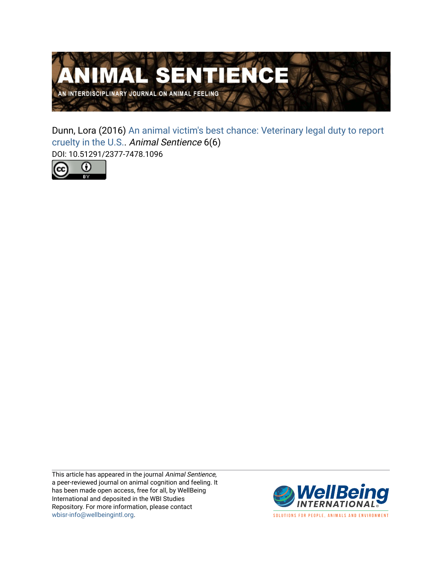

Dunn, Lora (2016) [An animal victim's best chance: Veterinary legal duty to report](https://www.wellbeingintlstudiesrepository.org/animsent/vol1/iss6/6)  [cruelty in the U.S.](https://www.wellbeingintlstudiesrepository.org/animsent/vol1/iss6/6). Animal Sentience 6(6) DOI: 10.51291/2377-7478.1096



This article has appeared in the journal Animal Sentience, a peer-reviewed journal on animal cognition and feeling. It has been made open access, free for all, by WellBeing International and deposited in the WBI Studies Repository. For more information, please contact [wbisr-info@wellbeingintl.org](mailto:wbisr-info@wellbeingintl.org).



SOLUTIONS FOR PEOPLE, ANIMALS AND ENVIRONMENT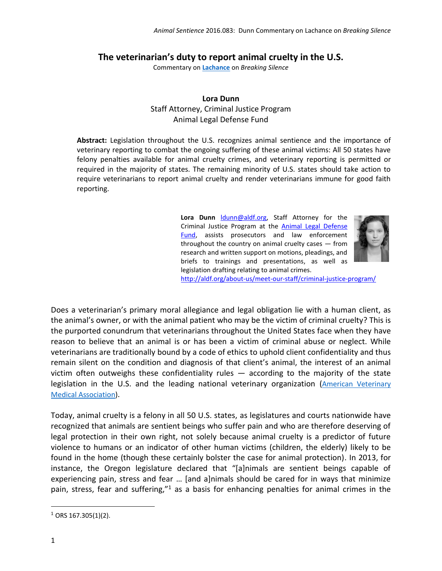## **The veterinarian's duty to report animal cruelty in the U.S.**

Commentary on **[Lachance](http://animalstudiesrepository.org/animsent/vol1/iss6/1)** on *Breaking Silence*

## **Lora Dunn** Staff Attorney, Criminal Justice Program Animal Legal Defense Fund

**Abstract:** Legislation throughout the U.S. recognizes animal sentience and the importance of veterinary reporting to combat the ongoing suffering of these animal victims: All 50 states have felony penalties available for animal cruelty crimes, and veterinary reporting is permitted or required in the majority of states. The remaining minority of U.S. states should take action to require veterinarians to report animal cruelty and render veterinarians immune for good faith reporting.

> **Lora Dunn** [ldunn@aldf.org,](mailto:ldunn@aldf.org) Staff Attorney for the Criminal Justice Program at the [Animal Legal Defense](http://aldf.org/about-us/)  [Fund,](http://aldf.org/about-us/) assists prosecutors and law enforcement throughout the country on animal cruelty cases — from research and written support on motions, pleadings, and briefs to trainings and presentations, as well as legislation drafting relating to animal crimes.



<http://aldf.org/about-us/meet-our-staff/criminal-justice-program/>

Does a veterinarian's primary moral allegiance and legal obligation lie with a human client, as the animal's owner, or with the animal patient who may be the victim of criminal cruelty? This is the purported conundrum that veterinarians throughout the United States face when they have reason to believe that an animal is or has been a victim of criminal abuse or neglect. While veterinarians are traditionally bound by a code of ethics to uphold client confidentiality and thus remain silent on the condition and diagnosis of that client's animal, the interest of an animal victim often outweighs these confidentiality rules  $-$  according to the majority of the state legislation in the U.S. and the leading national veterinary organization (American Veterinary [Medical Association\)](https://www.avma.org/Advocacy/StateAndLocal/Pages/sr-animal-abuse-reporting-requirements.aspx).

Today, animal cruelty is a felony in all 50 U.S. states, as legislatures and courts nationwide have recognized that animals are sentient beings who suffer pain and who are therefore deserving of legal protection in their own right, not solely because animal cruelty is a predictor of future violence to humans or an indicator of other human victims (children, the elderly) likely to be found in the home (though these certainly bolster the case for animal protection). In 2013, for instance, the Oregon legislature declared that "[a]nimals are sentient beings capable of experiencing pain, stress and fear … [and a]nimals should be cared for in ways that minimize pain, stress, fear and suffering,"<sup>1</sup> as a basis for enhancing penalties for animal crimes in the

l

 $1$  ORS 167.305(1)(2).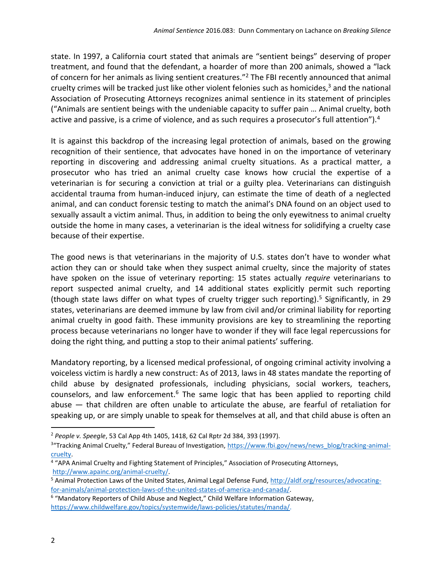state. In 1997, a California court stated that animals are "sentient beings" deserving of proper treatment, and found that the defendant, a hoarder of more than 200 animals, showed a "lack of concern for her animals as living sentient creatures."<sup>2</sup> The FBI recently announced that animal cruelty crimes will be tracked just like other violent felonies such as homicides,<sup>3</sup> and the national Association of Prosecuting Attorneys recognizes animal sentience in its statement of principles ("Animals are sentient beings with the undeniable capacity to suffer pain … Animal cruelty, both active and passive, is a crime of violence, and as such requires a prosecutor's full attention"). $4$ 

It is against this backdrop of the increasing legal protection of animals, based on the growing recognition of their sentience, that advocates have honed in on the importance of veterinary reporting in discovering and addressing animal cruelty situations. As a practical matter, a prosecutor who has tried an animal cruelty case knows how crucial the expertise of a veterinarian is for securing a conviction at trial or a guilty plea. Veterinarians can distinguish accidental trauma from human-induced injury, can estimate the time of death of a neglected animal, and can conduct forensic testing to match the animal's DNA found on an object used to sexually assault a victim animal. Thus, in addition to being the only eyewitness to animal cruelty outside the home in many cases, a veterinarian is the ideal witness for solidifying a cruelty case because of their expertise.

The good news is that veterinarians in the majority of U.S. states don't have to wonder what action they can or should take when they suspect animal cruelty, since the majority of states have spoken on the issue of veterinary reporting: 15 states actually *require* veterinarians to report suspected animal cruelty, and 14 additional states explicitly permit such reporting (though state laws differ on what types of cruelty trigger such reporting). <sup>5</sup> Significantly, in 29 states, veterinarians are deemed immune by law from civil and/or criminal liability for reporting animal cruelty in good faith. These immunity provisions are key to streamlining the reporting process because veterinarians no longer have to wonder if they will face legal repercussions for doing the right thing, and putting a stop to their animal patients' suffering.

Mandatory reporting, by a licensed medical professional, of ongoing criminal activity involving a voiceless victim is hardly a new construct: As of 2013, laws in 48 states mandate the reporting of child abuse by designated professionals, including physicians, social workers, teachers, counselors, and law enforcement.<sup>6</sup> The same logic that has been applied to reporting child abuse — that children are often unable to articulate the abuse, are fearful of retaliation for speaking up, or are simply unable to speak for themselves at all, and that child abuse is often an

 $\overline{a}$ 

<sup>2</sup> *People v. Speegle*, 53 Cal App 4th 1405, 1418, 62 Cal Rptr 2d 384, 393 (1997).

<sup>&</sup>lt;sup>3</sup>"Tracking Animal Cruelty," Federal Bureau of Investigation, [https://www.fbi.gov/news/news\\_blog/tracking-animal](https://www.fbi.gov/news/news_blog/tracking-animal-cruelty)[cruelty.](https://www.fbi.gov/news/news_blog/tracking-animal-cruelty)

<sup>&</sup>lt;sup>4</sup> "APA Animal Cruelty and Fighting Statement of Principles," Association of Prosecuting Attorneys, [http://www.apainc.org/animal-cruelty/.](http://www.apainc.org/animal-cruelty/)

<sup>5</sup> Animal Protection Laws of the United States, Animal Legal Defense Fund[, http://aldf.org/resources/advocating](http://aldf.org/resources/advocating-for-animals/animal-protection-laws-of-the-united-states-of-america-and-canada/)[for-animals/animal-protection-laws-of-the-united-states-of-america-and-canada/.](http://aldf.org/resources/advocating-for-animals/animal-protection-laws-of-the-united-states-of-america-and-canada/)

<sup>&</sup>lt;sup>6</sup> "Mandatory Reporters of Child Abuse and Neglect," Child Welfare Information Gateway, [https://www.childwelfare.gov/topics/systemwide/laws-policies/statutes/manda/.](https://www.childwelfare.gov/topics/systemwide/laws-policies/statutes/manda/)